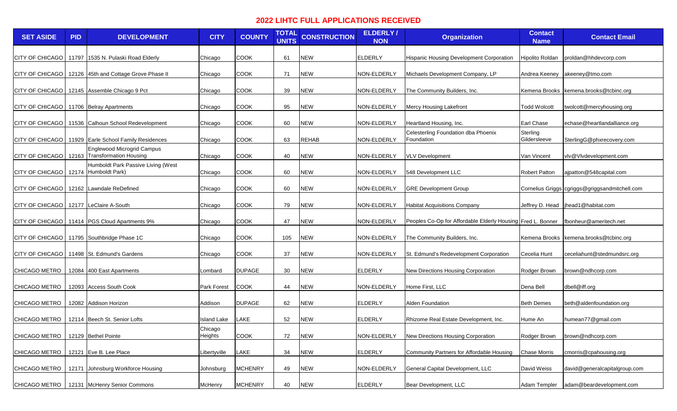## **2022 LIHTC FULL APPLICATIONS RECEIVED**

| <b>SET ASIDE</b>                            | <b>PID</b> | <b>DEVELOPMENT</b>                                         | <b>CITY</b>        | <b>COUNTY</b>  | <b>TOTAL</b><br><b>UNITS</b> | <b>CONSTRUCTION</b> | <b>ELDERLY/</b><br><b>NON</b> | <b>Organization</b>                                         | <b>Contact</b><br><b>Name</b> | <b>Contact Email</b>                           |
|---------------------------------------------|------------|------------------------------------------------------------|--------------------|----------------|------------------------------|---------------------|-------------------------------|-------------------------------------------------------------|-------------------------------|------------------------------------------------|
| CITY OF CHICAGO                             |            | 11797 1535 N. Pulaski Road Elderly                         | Chicago            | <b>COOK</b>    | 61                           | <b>NEW</b>          | <b>ELDERLY</b>                | <b>Hispanic Housing Development Corporation</b>             | <b>Hipolito Roldan</b>        | proldan@hhdevcorp.com                          |
| <b>CITY OF CHICAGO</b>                      |            | 12126 45th and Cottage Grove Phase II                      | Chicago            | <b>COOK</b>    | 71                           | <b>NEW</b>          | NON-ELDERLY                   | Michaels Development Company, LP                            | Andrea Keeney                 | akeeney@tmo.com                                |
| <b>CITY OF CHICAGO</b>                      |            | 12145 Assemble Chicago 9 Pct                               | Chicago            | <b>COOK</b>    | 39                           | <b>NEW</b>          | NON-ELDERLY                   | The Community Builders, Inc.                                |                               | Kemena Brooks kemena.brooks@tcbinc.org         |
| CITY OF CHICAGO   11706   Belray Apartments |            |                                                            | Chicago            | <b>COOK</b>    | 95                           | <b>NEW</b>          | NON-ELDERLY                   | <b>Mercy Housing Lakefront</b>                              | <b>Todd Wolcott</b>           | twolcott@mercyhousing.org                      |
| CITY OF CHICAGO                             |            | 11536 Calhoun School Redevelopment                         | Chicago            | <b>COOK</b>    | 60                           | <b>NEW</b>          | NON-ELDERLY                   | Heartland Housing, Inc.                                     | <b>Earl Chase</b>             | echase@heartlandalliance.org                   |
| CITY OF CHICAGO                             |            | 11929 Earle School Family Residences                       | Chicago            | <b>COOK</b>    | 63                           | <b>REHAB</b>        | NON-ELDERLY                   | Celesterling Foundation dba Phoenix<br>Foundation           | Sterling<br>Gildersleeve      | SterlingG@phxrecovery.com                      |
| CITY OF CHICAGO                             |            | Englewood Microgrid Campus<br>12163 Transformation Housing | Chicago            | <b>COOK</b>    | 40                           | <b>NEW</b>          | NON-ELDERLY                   | <b>VLV Development</b>                                      | Van Vincent                   | vlv@Vlvdevelopment.com                         |
| CITY OF CHICAGO                             |            | Humboldt Park Passive Living (West<br>12174 Humboldt Park) | Chicago            | <b>COOK</b>    | 60                           | <b>NEW</b>          | NON-ELDERLY                   | 548 Development LLC                                         | <b>Robert Patton</b>          | ajpatton@548capital.com                        |
| CITY OF CHICAGO                             |            | 12162 Lawndale ReDefined                                   | Chicago            | <b>COOK</b>    | 60                           | <b>NEW</b>          | NON-ELDERLY                   | <b>GRE Development Group</b>                                |                               | Cornelius Griggs cgriggs@griggsandmitchell.com |
| <b>CITY OF CHICAGO</b>                      |            | 12177 LeClaire A-South                                     | Chicago            | <b>COOK</b>    | 79                           | <b>NEW</b>          | NON-ELDERLY                   | <b>Habitat Acquisitions Company</b>                         |                               | Jeffrey D. Head   jhead1@habitat.com           |
|                                             |            | CITY OF CHICAGO   11414   PGS Cloud Apartments 9%          | Chicago            | <b>COOK</b>    | 47                           | <b>NEW</b>          | NON-ELDERLY                   | Peoples Co-Op for Affordable Elderly Housing Fred L. Bonner |                               | fbonheur@ameritech.net                         |
| CITY OF CHICAGO                             |            | 11795 Southbridge Phase 1C                                 | Chicago            | <b>COOK</b>    | 105                          | <b>NEW</b>          | NON-ELDERLY                   | The Community Builders, Inc.                                |                               | Kemena Brooks kemena.brooks@tcbinc.org         |
| CITY OF CHICAGO                             |            | 11498 St. Edmund's Gardens                                 | Chicago            | <b>COOK</b>    | 37                           | <b>NEW</b>          | NON-ELDERLY                   | St. Edmund's Redevelopment Corporation                      | Cecelia Hunt                  | ceceliahunt@stedmundsrc.org                    |
| <b>CHICAGO METRO</b>                        |            | 12084 400 East Apartments                                  | _ombard            | <b>DUPAGE</b>  | 30                           | <b>NEW</b>          | ELDERLY                       | New Directions Housing Corporation                          | Rodger Brown                  | brown@ndhcorp.com                              |
| <b>CHICAGO METRO</b>                        |            | 12093 Access South Cook                                    | Park Forest        | <b>COOK</b>    | 44                           | <b>NEW</b>          | NON-ELDERLY                   | Home First, LLC                                             | Dena Bell                     | dbell@iff.org                                  |
| <b>CHICAGO METRO</b>                        |            | 12082 Addison Horizon                                      | Addison            | <b>DUPAGE</b>  | 62                           | <b>NEW</b>          | ELDERLY                       | <b>Alden Foundation</b>                                     | <b>Beth Demes</b>             | beth@aldenfoundation.org                       |
| CHICAGO METRO                               |            | 12114 Beech St. Senior Lofts                               | sland Lake         | LAKE           | 52                           | <b>NEW</b>          | <b>ELDERLY</b>                | Rhizome Real Estate Development, Inc.                       | Hume An                       | humean77@gmail.com                             |
| CHICAGO METRO                               |            | 12129 Bethel Pointe                                        | Chicago<br>Heights | COOK           | 72                           | <b>NEW</b>          | NON-ELDERLY                   | New Directions Housing Corporation                          | Rodger Brown                  | brown@ndhcorp.com                              |
| CHICAGO METRO                               |            | 12121 Eve B. Lee Place                                     | Libertyville       | LAKE           | 34                           | <b>NEW</b>          | <b>ELDERLY</b>                | Community Partners for Affordable Housing                   | <b>Chase Morris</b>           | cmorris@cpahousing.org                         |
| CHICAGO METRO                               |            | 12171 Johnsburg Workforce Housing                          | Johnsburg          | <b>MCHENRY</b> | 49                           | <b>NEW</b>          | NON-ELDERLY                   | General Capital Development, LLC                            | David Weiss                   | david@generalcapitalgroup.com                  |
| CHICAGO METRO                               |            | 12131 McHenry Senior Commons                               | McHenry            | <b>MCHENRY</b> | 40                           | <b>NEW</b>          | <b>ELDERLY</b>                | Bear Development, LLC                                       | Adam Templer                  | adam@beardevelopment.com                       |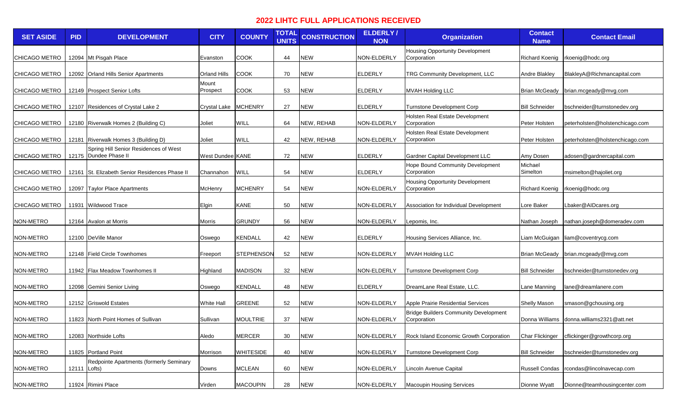## **2022 LIHTC FULL APPLICATIONS RECEIVED**

| <b>SET ASIDE</b> | <b>PID</b>   | <b>DEVELOPMENT</b>                                             | <b>CITY</b>         | <b>COUNTY</b>     | <b>TOTAL</b><br><b>UNITS</b> | <b>CONSTRUCTION</b> | <b>ELDERLY/</b><br><b>NON</b> | <b>Organization</b>                                         | <b>Contact</b><br><b>Name</b> | <b>Contact Email</b>                       |
|------------------|--------------|----------------------------------------------------------------|---------------------|-------------------|------------------------------|---------------------|-------------------------------|-------------------------------------------------------------|-------------------------------|--------------------------------------------|
| CHICAGO METRO    |              | 12094 Mt Pisgah Place                                          | Evanston            | <b>COOK</b>       | 44                           | <b>NEW</b>          | NON-ELDERLY                   | <b>Housing Opportunity Development</b><br>Corporation       | <b>Richard Koenig</b>         | rkoenig@hodc.org                           |
| CHICAGO METRO    |              | 12092 Orland Hills Senior Apartments                           | Orland Hills        | <b>COOK</b>       | 70                           | <b>NEW</b>          | <b>ELDERLY</b>                | TRG Community Development, LLC                              | <b>Andre Blakley</b>          | BlakleyA@Richmancapital.com                |
| CHICAGO METRO    |              | 12149 Prospect Senior Lofts                                    | Mount<br>Prospect   | <b>COOK</b>       | 53                           | <b>NEW</b>          | <b>ELDERLY</b>                | <b>MVAH Holding LLC</b>                                     | <b>Brian McGeady</b>          | brian.mcgeady@mvg.com                      |
| CHICAGO METRO    |              | 12107 Residences of Crystal Lake 2                             | <b>Crystal Lake</b> | <b>MCHENRY</b>    | 27                           | <b>NEW</b>          | ELDERLY                       | Turnstone Development Corp                                  | <b>Bill Schneider</b>         | bschneider@turnstonedev.org                |
| CHICAGO METRO    |              | 12180 Riverwalk Homes 2 (Building C)                           | Joliet              | WILL              | 64                           | NEW, REHAB          | NON-ELDERLY                   | Holsten Real Estate Development<br>Corporation              | Peter Holsten                 | peterholsten@holstenchicago.com            |
| CHICAGO METRO    |              | 12181 Riverwalk Homes 3 (Building D)                           | Joliet              | WILL              | 42                           | NEW, REHAB          | NON-ELDERLY                   | Holsten Real Estate Development<br>Corporation              | Peter Holsten                 | peterholsten@holstenchicago.com            |
| CHICAGO METRO    |              | Spring Hill Senior Residences of West<br>12175 Dundee Phase II | West Dundee KANE    |                   | 72                           | <b>NEW</b>          | <b>ELDERLY</b>                | Gardner Capital Development LLC                             | Amy Dosen                     | adosen@gardnercapital.com                  |
| CHICAGO METRO    |              | 12161 St. Elizabeth Senior Residences Phase II                 | Channahon           | <b>WILL</b>       | 54                           | <b>NEW</b>          | <b>ELDERLY</b>                | Hope Bound Community Development<br>Corporation             | Michael<br>Simelton           | msimelton@hajoliet.org                     |
| CHICAGO METRO    |              | 12097 Taylor Place Apartments                                  | McHenry             | <b>MCHENRY</b>    | 54                           | <b>NEW</b>          | NON-ELDERLY                   | <b>Housing Opportunity Development</b><br>Corporation       |                               | Richard Koenig rkoenig@hodc.org            |
| CHICAGO METRO    |              | 11931 Wildwood Trace                                           | Elgin               | <b>KANE</b>       | 50                           | <b>NEW</b>          | NON-ELDERLY                   | Association for Individual Development                      | Lore Baker                    | Lbaker@AlDcares.org                        |
| NON-METRO        |              | 12164 Avalon at Morris                                         | Morris              | <b>GRUNDY</b>     | 56                           | <b>NEW</b>          | NON-ELDERLY                   | Lepomis, Inc.                                               | Nathan Joseph                 | nathan.joseph@domeradev.com                |
| NON-METRO        |              | 12100 DeVille Manor                                            | Oswego              | <b>KENDALL</b>    | 42                           | <b>NEW</b>          | ELDERLY                       | Housing Services Alliance, Inc.                             |                               | Liam McGuigan liam@coventrycg.com          |
| NON-METRO        |              | 12148 Field Circle Townhomes                                   | Freeport            | <b>STEPHENSON</b> | 52                           | <b>NEW</b>          | NON-ELDERLY                   | <b>MVAH Holding LLC</b>                                     |                               | Brian McGeady brian.mcgeady@mvg.com        |
| NON-METRO        |              | 11942 Flax Meadow Townhomes II                                 | Highland            | <b>MADISON</b>    | 32                           | <b>NEW</b>          | NON-ELDERLY                   | <b>Turnstone Development Corp</b>                           | <b>Bill Schneider</b>         | bschneider@turnstonedev.org                |
| NON-METRO        |              | 12098 Gemini Senior Living                                     | Oswego              | <b>KENDALL</b>    | 48                           | <b>NEW</b>          | <b>ELDERLY</b>                | DreamLane Real Estate, LLC.                                 | Lane Manning                  | lane@dreamlanere.com                       |
| NON-METRO        |              | 12152 Griswold Estates                                         | <b>White Hall</b>   | <b>GREENE</b>     | 52                           | <b>NEW</b>          | NON-ELDERLY                   | Apple Prairie Residential Services                          | <b>Shelly Mason</b>           | smason@gchousing.org                       |
| NON-METRO        |              | 11823 North Point Homes of Sullivan                            | Sullivan            | <b>MOULTRIE</b>   | 37                           | <b>NEW</b>          | NON-ELDERLY                   | <b>Bridge Builders Community Development</b><br>Corporation | Donna Williams                | donna.williams2321@att.net                 |
| NON-METRO        |              | 12083 Northside Lofts                                          | Aledo               | <b>MERCER</b>     | 30                           | <b>NEW</b>          | NON-ELDERLY                   | Rock Island Economic Growth Corporation                     |                               | Char Flickinger cflickinger@growthcorp.org |
| NON-METRO        |              | 11825 Portland Point                                           | Morrison            | <b>WHITESIDE</b>  | 40                           | <b>NEW</b>          | NON-ELDERLY                   | Turnstone Development Corp                                  | <b>Bill Schneider</b>         | bschneider@turnstonedev.org                |
| NON-METRO        | 12111 Lofts) | Redpointe Apartments (formerly Seminary                        | Downs               | <b>MCLEAN</b>     | 60                           | <b>NEW</b>          | NON-ELDERLY                   | Lincoln Avenue Capital                                      |                               | Russell Condas  rcondas@lincolnavecap.com  |
| NON-METRO        |              | 11924 Rimini Place                                             | Virden              | <b>MACOUPIN</b>   | 28                           | <b>NEW</b>          | NON-ELDERLY                   | Macoupin Housing Services                                   | Dionne Wyatt                  | Dionne@teamhousingcenter.com               |